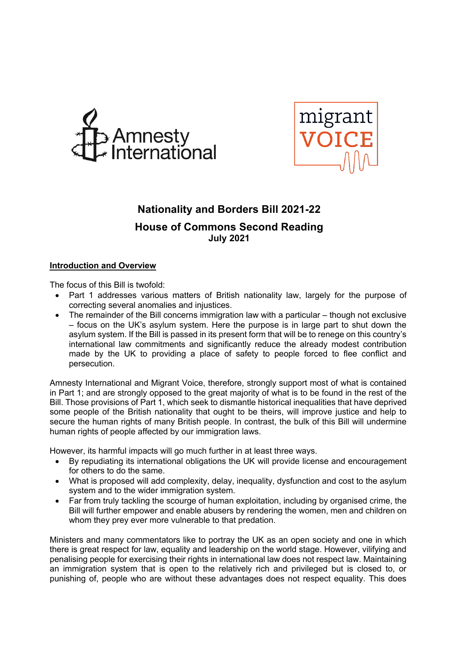



# **Nationality and Borders Bill 2021-22**

## **House of Commons Second Reading July 2021**

## **Introduction and Overview**

The focus of this Bill is twofold:

- Part 1 addresses various matters of British nationality law, largely for the purpose of correcting several anomalies and injustices.
- The remainder of the Bill concerns immigration law with a particular though not exclusive – focus on the UK's asylum system. Here the purpose is in large part to shut down the asylum system. If the Bill is passed in its present form that will be to renege on this country's international law commitments and significantly reduce the already modest contribution made by the UK to providing a place of safety to people forced to flee conflict and persecution.

Amnesty International and Migrant Voice, therefore, strongly support most of what is contained in Part 1; and are strongly opposed to the great majority of what is to be found in the rest of the Bill. Those provisions of Part 1, which seek to dismantle historical inequalities that have deprived some people of the British nationality that ought to be theirs, will improve justice and help to secure the human rights of many British people. In contrast, the bulk of this Bill will undermine human rights of people affected by our immigration laws.

However, its harmful impacts will go much further in at least three ways.

- By repudiating its international obligations the UK will provide license and encouragement for others to do the same.
- What is proposed will add complexity, delay, inequality, dysfunction and cost to the asylum system and to the wider immigration system.
- Far from truly tackling the scourge of human exploitation, including by organised crime, the Bill will further empower and enable abusers by rendering the women, men and children on whom they prey ever more vulnerable to that predation.

Ministers and many commentators like to portray the UK as an open society and one in which there is great respect for law, equality and leadership on the world stage. However, vilifying and penalising people for exercising their rights in international law does not respect law. Maintaining an immigration system that is open to the relatively rich and privileged but is closed to, or punishing of, people who are without these advantages does not respect equality. This does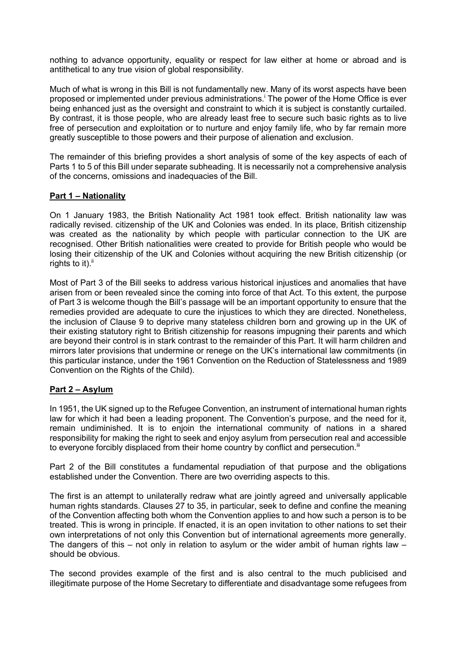nothing to advance opportunity, equality or respect for law either at home or abroad and is antithetical to any true vision of global responsibility.

Much of what is wrong in this Bill is not fundamentally new. Many of its worst aspects have been proposed or implemented under previous administrations.<sup>†</sup> The power of the Home Office is ever being enhanced just as the oversight and constraint to which it is subject is constantly curtailed. By contrast, it is those people, who are already least free to secure such basic rights as to live free of persecution and exploitation or to nurture and enjoy family life, who by far remain more greatly susceptible to those powers and their purpose of alienation and exclusion.

The remainder of this briefing provides a short analysis of some of the key aspects of each of Parts 1 to 5 of this Bill under separate subheading. It is necessarily not a comprehensive analysis of the concerns, omissions and inadequacies of the Bill.

### **Part 1 – Nationality**

On 1 January 1983, the British Nationality Act 1981 took effect. British nationality law was radically revised. citizenship of the UK and Colonies was ended. In its place, British citizenship was created as the nationality by which people with particular connection to the UK are recognised. Other British nationalities were created to provide for British people who would be losing their citizenship of the UK and Colonies without acquiring the new British citizenship (or rights to it). $^{\mathrm{ii}}$ 

Most of Part 3 of the Bill seeks to address various historical injustices and anomalies that have arisen from or been revealed since the coming into force of that Act. To this extent, the purpose of Part 3 is welcome though the Bill's passage will be an important opportunity to ensure that the remedies provided are adequate to cure the injustices to which they are directed. Nonetheless, the inclusion of Clause 9 to deprive many stateless children born and growing up in the UK of their existing statutory right to British citizenship for reasons impugning their parents and which are beyond their control is in stark contrast to the remainder of this Part. It will harm children and mirrors later provisions that undermine or renege on the UK's international law commitments (in this particular instance, under the 1961 Convention on the Reduction of Statelessness and 1989 Convention on the Rights of the Child).

## **Part 2 – Asylum**

In 1951, the UK signed up to the Refugee Convention, an instrument of international human rights law for which it had been a leading proponent. The Convention's purpose, and the need for it, remain undiminished. It is to enjoin the international community of nations in a shared responsibility for making the right to seek and enjoy asylum from persecution real and accessible to everyone forcibly displaced from their home country by conflict and persecution.<sup>iii</sup>

Part 2 of the Bill constitutes a fundamental repudiation of that purpose and the obligations established under the Convention. There are two overriding aspects to this.

The first is an attempt to unilaterally redraw what are jointly agreed and universally applicable human rights standards. Clauses 27 to 35, in particular, seek to define and confine the meaning of the Convention affecting both whom the Convention applies to and how such a person is to be treated. This is wrong in principle. If enacted, it is an open invitation to other nations to set their own interpretations of not only this Convention but of international agreements more generally. The dangers of this – not only in relation to asylum or the wider ambit of human rights law – should be obvious.

The second provides example of the first and is also central to the much publicised and illegitimate purpose of the Home Secretary to differentiate and disadvantage some refugees from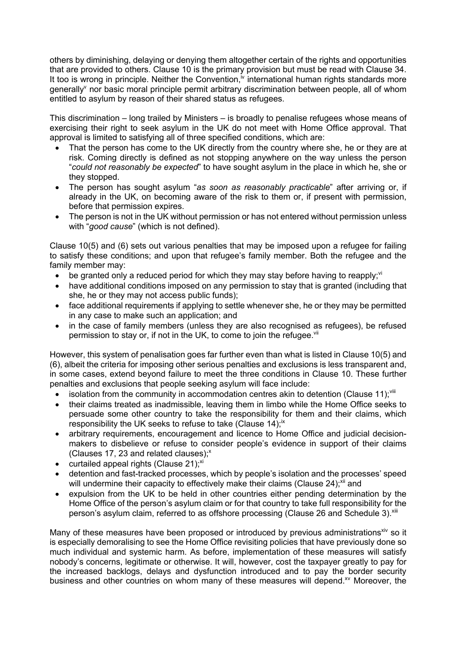others by diminishing, delaying or denying them altogether certain of the rights and opportunities that are provided to others. Clause 10 is the primary provision but must be read with Clause 34. It too is wrong in principle. Neither the Convention, $\dot{v}$  international human rights standards more generally nor basic moral principle permit arbitrary discrimination between people, all of whom entitled to asylum by reason of their shared status as refugees.

This discrimination – long trailed by Ministers – is broadly to penalise refugees whose means of exercising their right to seek asylum in the UK do not meet with Home Office approval. That approval is limited to satisfying all of three specified conditions, which are:

- That the person has come to the UK directly from the country where she, he or they are at risk. Coming directly is defined as not stopping anywhere on the way unless the person "*could not reasonably be expected*" to have sought asylum in the place in which he, she or they stopped.
- The person has sought asylum "*as soon as reasonably practicable*" after arriving or, if already in the UK, on becoming aware of the risk to them or, if present with permission, before that permission expires.
- The person is not in the UK without permission or has not entered without permission unless with "*good cause*" (which is not defined).

Clause 10(5) and (6) sets out various penalties that may be imposed upon a refugee for failing to satisfy these conditions; and upon that refugee's family member. Both the refugee and the family member may:

- be granted only a reduced period for which they may stay before having to reapply; $\dot{v}$
- have additional conditions imposed on any permission to stay that is granted (including that she, he or they may not access public funds);
- face additional requirements if applying to settle whenever she, he or they may be permitted in any case to make such an application; and
- in the case of family members (unless they are also recognised as refugees), be refused permission to stay or, if not in the UK, to come to join the refugee.<sup>vii</sup>

However, this system of penalisation goes far further even than what is listed in Clause 10(5) and (6), albeit the criteria for imposing other serious penalties and exclusions is less transparent and, in some cases, extend beyond failure to meet the three conditions in Clause 10. These further penalties and exclusions that people seeking asylum will face include:

- isolation from the community in accommodation centres akin to detention (Clause 11);<sup>viii</sup>
- their claims treated as inadmissible, leaving them in limbo while the Home Office seeks to persuade some other country to take the responsibility for them and their claims, which responsibility the UK seeks to refuse to take (Clause  $14$ );<sup>ix</sup>
- arbitrary requirements, encouragement and licence to Home Office and judicial decisionmakers to disbelieve or refuse to consider people's evidence in support of their claims (Clauses 17, 23 and related clauses): $x$
- curtailed appeal rights (Clause 21); $x^i$
- detention and fast-tracked processes, which by people's isolation and the processes' speed will undermine their capacity to effectively make their claims (Clause 24); $x^{i}$  and
- expulsion from the UK to be held in other countries either pending determination by the Home Office of the person's asylum claim or for that country to take full responsibility for the person's asylum claim, referred to as offshore processing (Clause 26 and Schedule 3).<sup>xiii</sup>

Many of these measures have been proposed or introduced by previous administrations<sup>xiv</sup> so it is especially demoralising to see the Home Office revisiting policies that have previously done so much individual and systemic harm. As before, implementation of these measures will satisfy nobody's concerns, legitimate or otherwise. It will, however, cost the taxpayer greatly to pay for the increased backlogs, delays and dysfunction introduced and to pay the border security business and other countries on whom many of these measures will depend.<sup>xv</sup> Moreover, the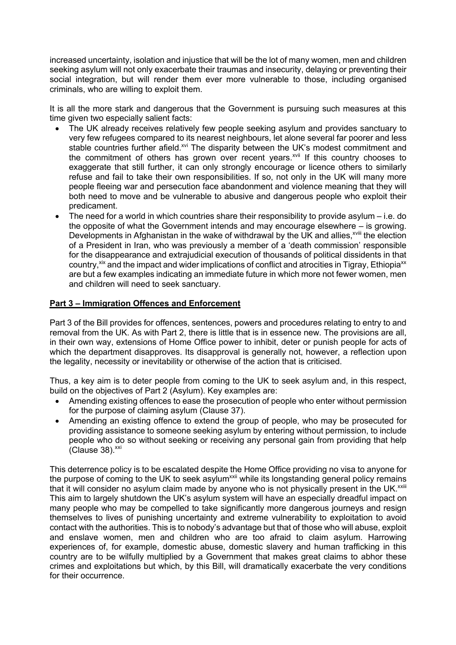increased uncertainty, isolation and injustice that will be the lot of many women, men and children seeking asylum will not only exacerbate their traumas and insecurity, delaying or preventing their social integration, but will render them ever more vulnerable to those, including organised criminals, who are willing to exploit them.

It is all the more stark and dangerous that the Government is pursuing such measures at this time given two especially salient facts:

- The UK already receives relatively few people seeking asylum and provides sanctuary to very few refugees compared to its nearest neighbours, let alone several far poorer and less stable countries further afield.<sup>xvi</sup> The disparity between the UK's modest commitment and the commitment of others has grown over recent years.<sup>xvii</sup> If this country chooses to exaggerate that still further, it can only strongly encourage or licence others to similarly refuse and fail to take their own responsibilities. If so, not only in the UK will many more people fleeing war and persecution face abandonment and violence meaning that they will both need to move and be vulnerable to abusive and dangerous people who exploit their predicament.
- The need for a world in which countries share their responsibility to provide asylum i.e. do the opposite of what the Government intends and may encourage elsewhere – is growing. Developments in Afghanistan in the wake of withdrawal by the UK and allies,<sup>xviii</sup> the election of a President in Iran, who was previously a member of a 'death commission' responsible for the disappearance and extrajudicial execution of thousands of political dissidents in that country,<sup>xix</sup> and the impact and wider implications of conflict and atrocities in Tigray, Ethiopia<sup>xx</sup> are but a few examples indicating an immediate future in which more not fewer women, men and children will need to seek sanctuary.

### **Part 3 – Immigration Offences and Enforcement**

Part 3 of the Bill provides for offences, sentences, powers and procedures relating to entry to and removal from the UK. As with Part 2, there is little that is in essence new. The provisions are all, in their own way, extensions of Home Office power to inhibit, deter or punish people for acts of which the department disapproves. Its disapproval is generally not, however, a reflection upon the legality, necessity or inevitability or otherwise of the action that is criticised.

Thus, a key aim is to deter people from coming to the UK to seek asylum and, in this respect, build on the objectives of Part 2 (Asylum). Key examples are:

- Amending existing offences to ease the prosecution of people who enter without permission for the purpose of claiming asylum (Clause 37).
- Amending an existing offence to extend the group of people, who may be prosecuted for providing assistance to someone seeking asylum by entering without permission, to include people who do so without seeking or receiving any personal gain from providing that help  $(C$ lause 38). $xxi$

This deterrence policy is to be escalated despite the Home Office providing no visa to anyone for the purpose of coming to the UK to seek asylum<sup>xxii</sup> while its longstanding general policy remains that it will consider no asylum claim made by anyone who is not physically present in the UK.<sup>xxiii</sup> This aim to largely shutdown the UK's asylum system will have an especially dreadful impact on many people who may be compelled to take significantly more dangerous journeys and resign themselves to lives of punishing uncertainty and extreme vulnerability to exploitation to avoid contact with the authorities. This is to nobody's advantage but that of those who will abuse, exploit and enslave women, men and children who are too afraid to claim asylum. Harrowing experiences of, for example, domestic abuse, domestic slavery and human trafficking in this country are to be wilfully multiplied by a Government that makes great claims to abhor these crimes and exploitations but which, by this Bill, will dramatically exacerbate the very conditions for their occurrence.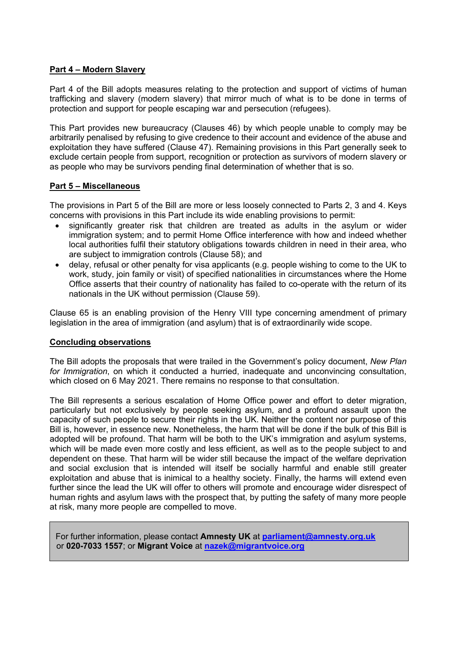## **Part 4 – Modern Slavery**

Part 4 of the Bill adopts measures relating to the protection and support of victims of human trafficking and slavery (modern slavery) that mirror much of what is to be done in terms of protection and support for people escaping war and persecution (refugees).

This Part provides new bureaucracy (Clauses 46) by which people unable to comply may be arbitrarily penalised by refusing to give credence to their account and evidence of the abuse and exploitation they have suffered (Clause 47). Remaining provisions in this Part generally seek to exclude certain people from support, recognition or protection as survivors of modern slavery or as people who may be survivors pending final determination of whether that is so.

### **Part 5 – Miscellaneous**

The provisions in Part 5 of the Bill are more or less loosely connected to Parts 2, 3 and 4. Keys concerns with provisions in this Part include its wide enabling provisions to permit:

- significantly greater risk that children are treated as adults in the asylum or wider immigration system; and to permit Home Office interference with how and indeed whether local authorities fulfil their statutory obligations towards children in need in their area, who are subject to immigration controls (Clause 58); and
- delay, refusal or other penalty for visa applicants (e.g. people wishing to come to the UK to work, study, join family or visit) of specified nationalities in circumstances where the Home Office asserts that their country of nationality has failed to co-operate with the return of its nationals in the UK without permission (Clause 59).

Clause 65 is an enabling provision of the Henry VIII type concerning amendment of primary legislation in the area of immigration (and asylum) that is of extraordinarily wide scope.

### **Concluding observations**

The Bill adopts the proposals that were trailed in the Government's policy document, *New Plan for Immigration*, on which it conducted a hurried, inadequate and unconvincing consultation, which closed on 6 May 2021. There remains no response to that consultation.

The Bill represents a serious escalation of Home Office power and effort to deter migration, particularly but not exclusively by people seeking asylum, and a profound assault upon the capacity of such people to secure their rights in the UK. Neither the content nor purpose of this Bill is, however, in essence new. Nonetheless, the harm that will be done if the bulk of this Bill is adopted will be profound. That harm will be both to the UK's immigration and asylum systems, which will be made even more costly and less efficient, as well as to the people subject to and dependent on these. That harm will be wider still because the impact of the welfare deprivation and social exclusion that is intended will itself be socially harmful and enable still greater exploitation and abuse that is inimical to a healthy society. Finally, the harms will extend even further since the lead the UK will offer to others will promote and encourage wider disrespect of human rights and asylum laws with the prospect that, by putting the safety of many more people at risk, many more people are compelled to move.

For further information, please contact **Amnesty UK** at **parliament@amnesty.org.uk** or **020-7033 1557**; or **Migrant Voice** at **nazek@migrantvoice.org**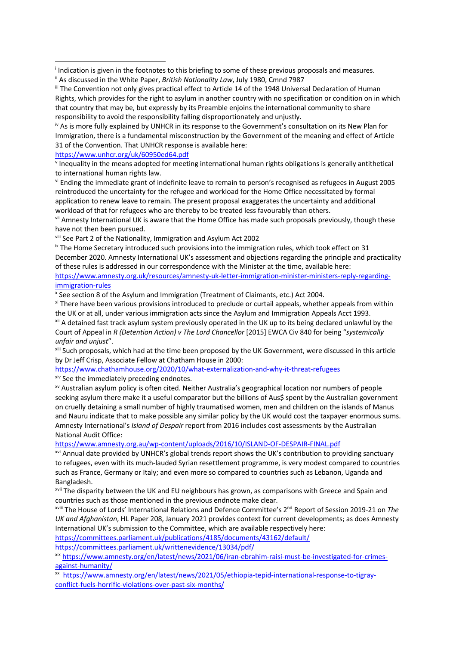iv As is more fully explained by UNHCR in its response to the Government's consultation on its New Plan for Immigration, there is a fundamental misconstruction by the Government of the meaning and effect of Article 31 of the Convention. That UNHCR response is available here:

https://www.unhcr.org/uk/60950ed64.pdf

<sup>v</sup> Inequality in the means adopted for meeting international human rights obligations is generally antithetical to international human rights law.

vi Ending the immediate grant of indefinite leave to remain to person's recognised as refugees in August 2005 reintroduced the uncertainty for the refugee and workload for the Home Office necessitated by formal application to renew leave to remain. The present proposal exaggerates the uncertainty and additional workload of that for refugees who are thereby to be treated less favourably than others.

vii Amnesty International UK is aware that the Home Office has made such proposals previously, though these have not then been pursued.

viii See Part 2 of the Nationality, Immigration and Asylum Act 2002

<sup>ix</sup> The Home Secretary introduced such provisions into the immigration rules, which took effect on 31 December 2020. Amnesty International UK's assessment and objections regarding the principle and practicality of these rules is addressed in our correspondence with the Minister at the time, available here: https://www.amnesty.org.uk/resources/amnesty-uk-letter-immigration-minister-ministers-reply-regarding-

immigration-rules

<sup>x</sup> See section 8 of the Asylum and Immigration (Treatment of Claimants, etc.) Act 2004.

xi There have been various provisions introduced to preclude or curtail appeals, whether appeals from within the UK or at all, under various immigration acts since the Asylum and Immigration Appeals Acct 1993.

<sup>xii</sup> A detained fast track asylum system previously operated in the UK up to its being declared unlawful by the Court of Appeal in *R (Detention Action) v The Lord Chancellor* [2015] EWCA Civ 840 for being "*systemically unfair and unjust*".

xiii Such proposals, which had at the time been proposed by the UK Government, were discussed in this article by Dr Jeff Crisp, Associate Fellow at Chatham House in 2000:

https://www.chathamhouse.org/2020/10/what-externalization-and-why-it-threat-refugees

<sup>xiv</sup> See the immediately preceding endnotes.

xv Australian asylum policy is often cited. Neither Australia's geographical location nor numbers of people seeking asylum there make it a useful comparator but the billions of Aus\$ spent by the Australian government on cruelly detaining a small number of highly traumatised women, men and children on the islands of Manus and Nauru indicate that to make possible any similar policy by the UK would cost the taxpayer enormous sums. Amnesty International's *Island of Despair* report from 2016 includes cost assessments by the Australian National Audit Office:

https://www.amnesty.org.au/wp-content/uploads/2016/10/ISLAND-OF-DESPAIR-FINAL.pdf

xvi Annual date provided by UNHCR's global trends report shows the UK's contribution to providing sanctuary to refugees, even with its much-lauded Syrian resettlement programme, is very modest compared to countries such as France, Germany or Italy; and even more so compared to countries such as Lebanon, Uganda and Bangladesh.

xvii The disparity between the UK and EU neighbours has grown, as comparisons with Greece and Spain and countries such as those mentioned in the previous endnote make clear.

xviii The House of Lords' International Relations and Defence Committee's 2nd Report of Session 2019-21 on *The UK and Afghanistan*, HL Paper 208, January 2021 provides context for current developments; as does Amnesty International UK's submission to the Committee, which are available respectively here:

https://committees.parliament.uk/publications/4185/documents/43162/default/ https://committees.parliament.uk/writtenevidence/13034/pdf/

xix https://www.amnesty.org/en/latest/news/2021/06/iran-ebrahim-raisi-must-be-investigated-for-crimesagainst-humanity/

xx https://www.amnesty.org/en/latest/news/2021/05/ethiopia-tepid-international-response-to-tigrayconflict-fuels-horrific-violations-over-past-six-months/

<sup>i</sup> Indication is given in the footnotes to this briefing to some of these previous proposals and measures.

<sup>&</sup>lt;sup>ii</sup> As discussed in the White Paper, *British Nationality Law*, July 1980, Cmnd 7987

iii The Convention not only gives practical effect to Article 14 of the 1948 Universal Declaration of Human Rights, which provides for the right to asylum in another country with no specification or condition on in which that country that may be, but expressly by its Preamble enjoins the international community to share responsibility to avoid the responsibility falling disproportionately and unjustly.